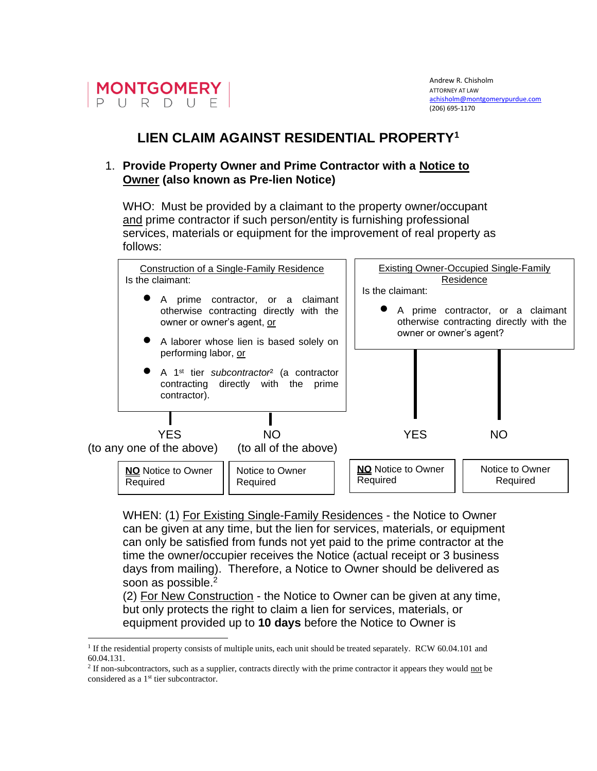

## **LIEN CLAIM AGAINST RESIDENTIAL PROPERTY<sup>1</sup>**

## 1. **Provide Property Owner and Prime Contractor with a Notice to Owner (also known as Pre-lien Notice)**

WHO: Must be provided by a claimant to the property owner/occupant and prime contractor if such person/entity is furnishing professional services, materials or equipment for the improvement of real property as follows:

| <b>Construction of a Single-Family Residence</b><br>Is the claimant:                                                                                                          | Existing Owner-Occupied Single-Family<br>Residence                                                                          |
|-------------------------------------------------------------------------------------------------------------------------------------------------------------------------------|-----------------------------------------------------------------------------------------------------------------------------|
| A prime contractor, or a claimant<br>otherwise contracting directly with the<br>owner or owner's agent, or<br>A laborer whose lien is based solely on<br>performing labor, or | Is the claimant:<br>A prime contractor, or a claimant<br>otherwise contracting directly with the<br>owner or owner's agent? |
| • A 1 <sup>st</sup> tier subcontractor <sup>2</sup> (a contractor<br>contracting directly with the prime<br>contractor).                                                      |                                                                                                                             |
| <b>YES</b><br>NO<br>(to any one of the above)<br>(to all of the above)                                                                                                        | <b>YES</b><br><b>NO</b>                                                                                                     |
| <b>NO</b> Notice to Owner<br>Notice to Owner<br>Required<br>Required                                                                                                          | <b>NO</b> Notice to Owner<br>Notice to Owner<br>Required<br>Required                                                        |

WHEN: (1) For Existing Single-Family Residences - the Notice to Owner can be given at any time, but the lien for services, materials, or equipment can only be satisfied from funds not yet paid to the prime contractor at the time the owner/occupier receives the Notice (actual receipt or 3 business days from mailing). Therefore, a Notice to Owner should be delivered as soon as possible.<sup>2</sup>

(2) For New Construction - the Notice to Owner can be given at any time, but only protects the right to claim a lien for services, materials, or equipment provided up to **10 days** before the Notice to Owner is

<sup>&</sup>lt;sup>1</sup> If the residential property consists of multiple units, each unit should be treated separately. RCW 60.04.101 and 60.04.131.

<sup>&</sup>lt;sup>2</sup> If non-subcontractors, such as a supplier, contracts directly with the prime contractor it appears they would not be considered as a 1<sup>st</sup> tier subcontractor.